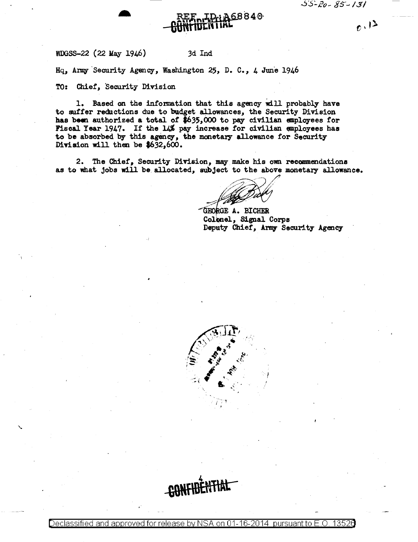$6.12$ 



WDGSS-22 (22 May 1946)

## 3d Ind

Hq, Army Security Agency, Washington 25, D. C., 4 June 1946

TO: Chief, Security Division

1. Based on the information that this agency will probably have to suffer reductions due to budget allowances, the Security Division has been authorized a total of \$635,000 to pay civilian employees for Piscal Year 1947. If the 14% pay increase for civilian employees has to be absorbed by this agency, the monetary allowance for Security Division will then be  $$632,600.$ 

2. The Chief, Security Division, may make his own recommendations as to what jobs will be allocated, subject to the above monetary allowance.

GEORGE A. BICHER Colonel, Signal Corps Deputy Chief, Army Security Agency



**CONFIR** 

Declassified and approved for release by NSA on 01-16-2014 pursuant to E.C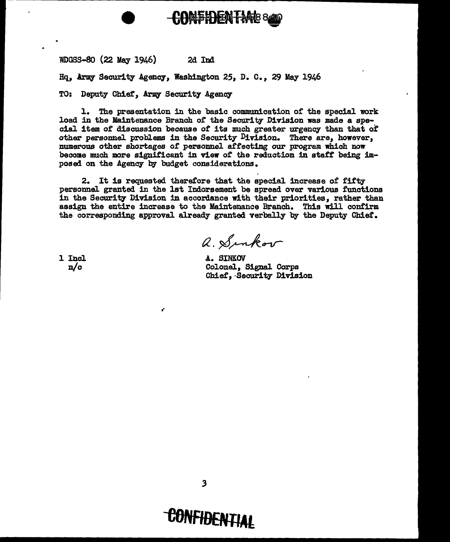## COMPIDENTME 840

WDGSS-80 {22 May 1946) 2d Ind

Hq. Army Security Agency. Washington 25, D. C., 29 May 1946

TO: Deputy Chief, Army Security Agency

..

l. The presentation in the basic communication or the special work load in the Maintenance Branch of the Security Division was made a special item of discussion because of its much greater urgency than that of other personnel problems in the Security Division. There are, however, numerous other shortages of personnel affecting our program which now become much more significant in view of the reduction in staff being imposed on the Agency by budget considerations.

2. It is requested therefore that the special increase of fifty personnel granted in the 1st Indorsement be spread over various functions in the Security Division in accordance with their priorities, rather than assign the entire increase to the Maintenance Branch. This will oontirm. the corresponding approval already granted verbally by the Deputy Chief.

 $a.$  Sinkov

1 Incl n/c

A. SINKOV Colonel, Signal Corps Chie£,·Security Division

## **-CBNFIBENTIAt**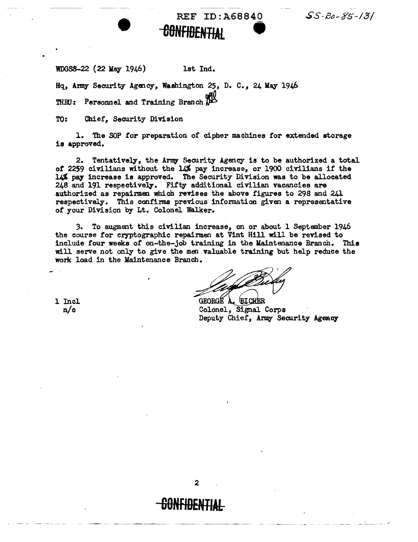$SS R0-85-13/$ 

WDGSS-22 {22 May 1946) lst Ind.

Hq, Army Security Agency, Washington 25, D. C., 24 May 1946 THEU: Personnel and Training Branch

TO: Chief, Security Division

l. The SOP for preparation of cipher machines for extended storage is approved.

REF ID:A68840

**-BONFIBENTIAL 9** 

2. Tentatively, the *A:rmy* Security Agency is to be authorized a total *ot* 2259 civilians without the *u.%* pay increase, or 1900 civilians if the 14% pay increase is approved. The Security Division was to be allocated 248 and 191 respectively. Fifty additional civilian vacancies are .authorized as repairmen which revises the above figures to 296 and 241 respectively. This confirms previous information given a representative of your Division by Lt. Colonel Walker.

3. To augment this civilian increase, on or about l September 1946 the course for cryptographic repairmen at Vint Hill will be revised to include four weeks of on-the-job training in the Maintenance Branch. This will serve not only to give the men valuable training but help reduce the work load in the Maintenance Branch.

GEORGE A **BICHER** Colonel, Signal Corps Deputy Chief, Army Security Agency

1 Incl n/c

2

~---------

**60NFIDENTIAL**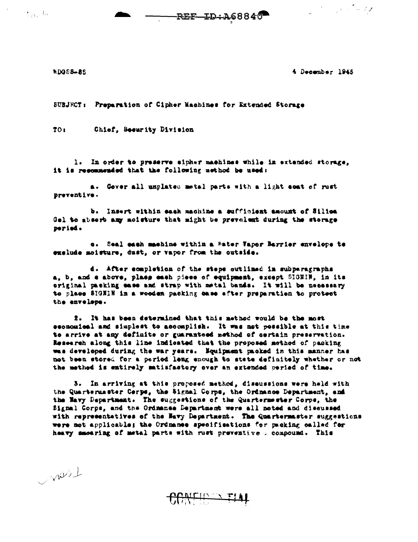ುವುದು

REF-ID:A68840

a de la Carte

**NDOS8-85** 

4 December 1945

SUBJECT: Preparation of Cipher Machines for Extended Storage

TO<sub>1</sub> Chief, Seeurity Division

1. In order to preserve sipher machines while in extended storage, it is recommended that the following method be used:

a. Gover all unplated metal parts with a light coat of rust preventive.

b. Insert within each machine a sufficient amount of Silica Gel to absorb any moisture that might be prevelent during the storage peried.

c. Seal each machine within a Mater Vapor Barrier envelope te exclude moisture, dust, or vapor from the outside.

d. After completion of the steps outlined in subperagraphs a, b, and a above, plase each piece of equipment, except SIGNIN, in its original packing ease and strap with metal bands. It will be necessary to place SIGNIN in a wooden packing case after preparation to protect the envelope.

2. It has been determined that this method would be the most economical and simplest to accomplish. It was not possible at this time to arrive at any definite or guaranteed method of certain preservation. Research along this line indicated that the proposed method of packing was developed during the war years. Equipment packed in this manner has not been stored for a period leng enough to state definitely whether or not the method is entirely matisfactory over an extended period of time.

3. In arriving at this proposed method, diseussions were held with the Quartermaster Cerps, the Signal Corps, the Ordnance Department, and the Mavy Department. The suggestions of the Quartermester Corps, the Signal Corps, and the Ordnance Department were all noted and discussed with representatives of the Havy Department. The Quartermaster suggestions were not applicable; the Ordnames apecifications for packing called for heavy smearing of metal parts with rust preventive a compound. This

wish

CONFIDENTIAL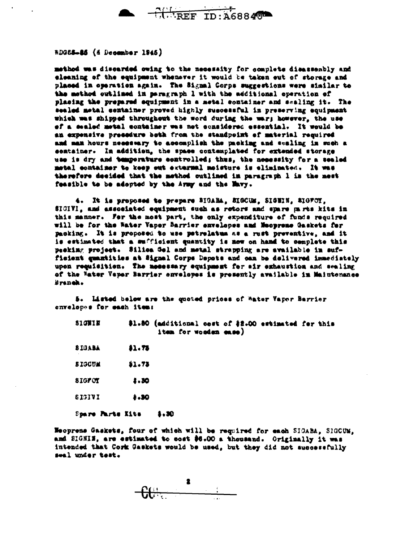

RDG85-85 (4 December 1945)

method was discarded owing to the necessity for complete disassembly and eleaning of the equipment whenever it would be taken out of storage and placed in operation again. The Signal Corps suggestions were similar to the method outlined in paragraph 1 with the additional operation of placing the prepared equipment in a metal container and scaling it. The sealed motal container proved highly successful in preserving equipment which was shipped throughout the word during the war; however, the use of a sealed metal container was not considered essential. It would be an expensive precedure beth from the standpoint of material required and man hours needswary to accomplish the packing and scaling in such a sentainer. In addition, the space contemplated for extended storage use is dry and temperature controlled; thus, the necessity for a sealed metal container to keep out external meisture is eliminated. It was therefore decided that the method outlined in paragraph 1 is the mest feasible to be adopted by the Army and the Mavy.

4. It is proposed to prepare SIGABA, SIGCUM, SIGHIN, SIGFOY, SIGIVI, and associated equipment such as rotors and spare parts kits in this manner. For the most part, the only expenditure of funds required will be for the Water Vapor Barrier envelopes and Meopreme Gaskets for packing. It is proposed to use petrelatum as a rust preventive, and it is estimated that a sufficient quantity is now on hand to complete this peeking project. Silica Gel and metal strapping are available in sufficient quantities at Signal Corps Depots and can be delivered immediately upen requisition. The messenry equipment for air exhaustion and sealing of the Water Veper Barrier cuvelopes is presently available in Maintenance Branch.

5. Listed below are the quoted prices of Water Vaper Barrier envelopes for each items

| <b>SIGNIN</b> | \$1.80 (additional cest of \$2.00 estimated for this<br>item for wooden ease) |  |
|---------------|-------------------------------------------------------------------------------|--|
| SIGABA        | 11.73                                                                         |  |
| <b>SIGCUM</b> | \$1.73                                                                        |  |
| <b>SIGFOT</b> | 1.30                                                                          |  |
| <b>SIGIVI</b> | .30                                                                           |  |
|               |                                                                               |  |

Spare Parts Kits  $1.30$ 

Meoprens Gaskets, four of which will be required for each SIGABA, SIGCUM, and SIGNIN, are estimated to cost \$6.00 a thousand. Originally it was intended that Cork Gaskets would be used, but they did not successfully seal under test.